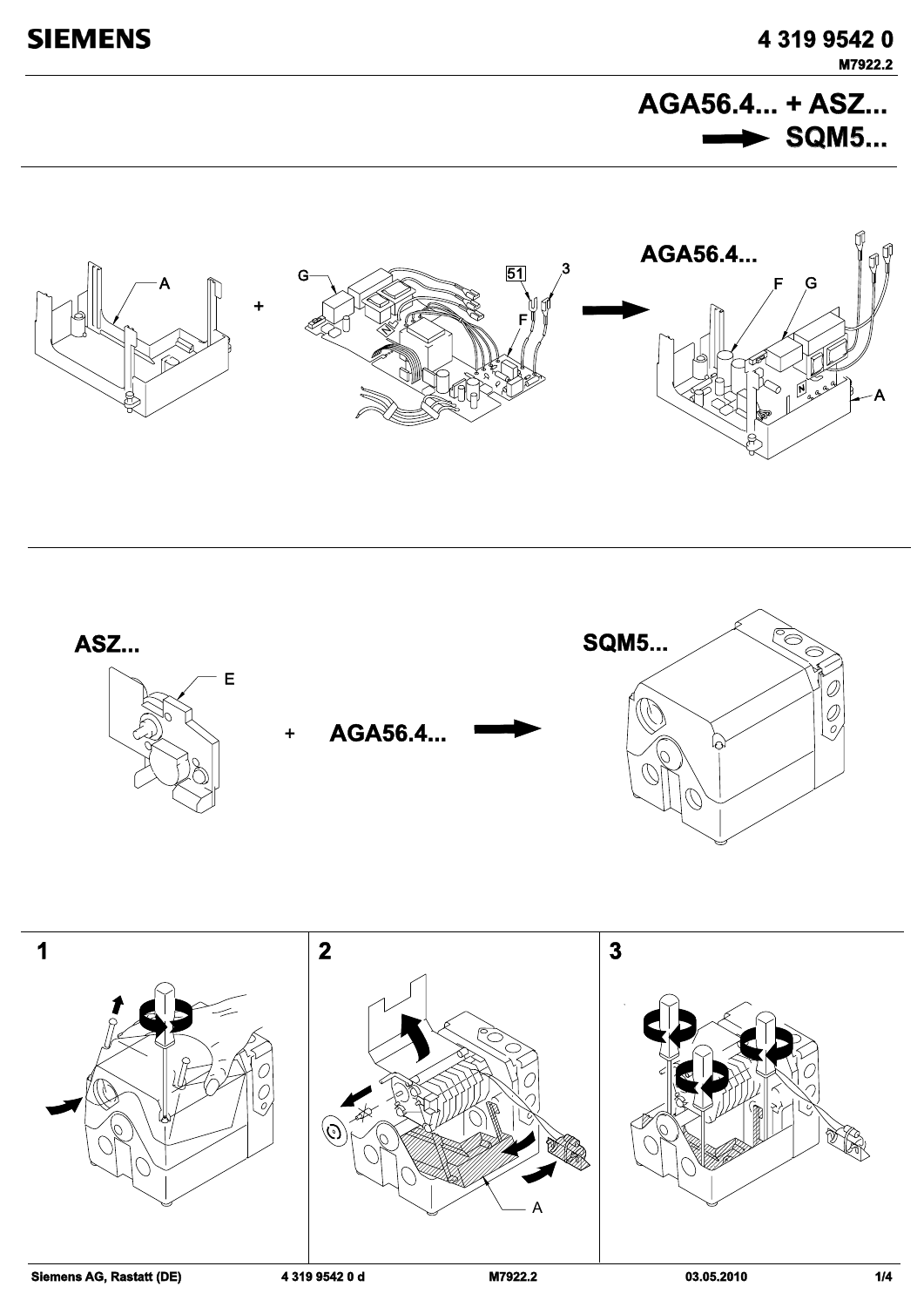**AGA56.4... + ASZ... AGA56.4...**  $\rightarrow$  SQM5...





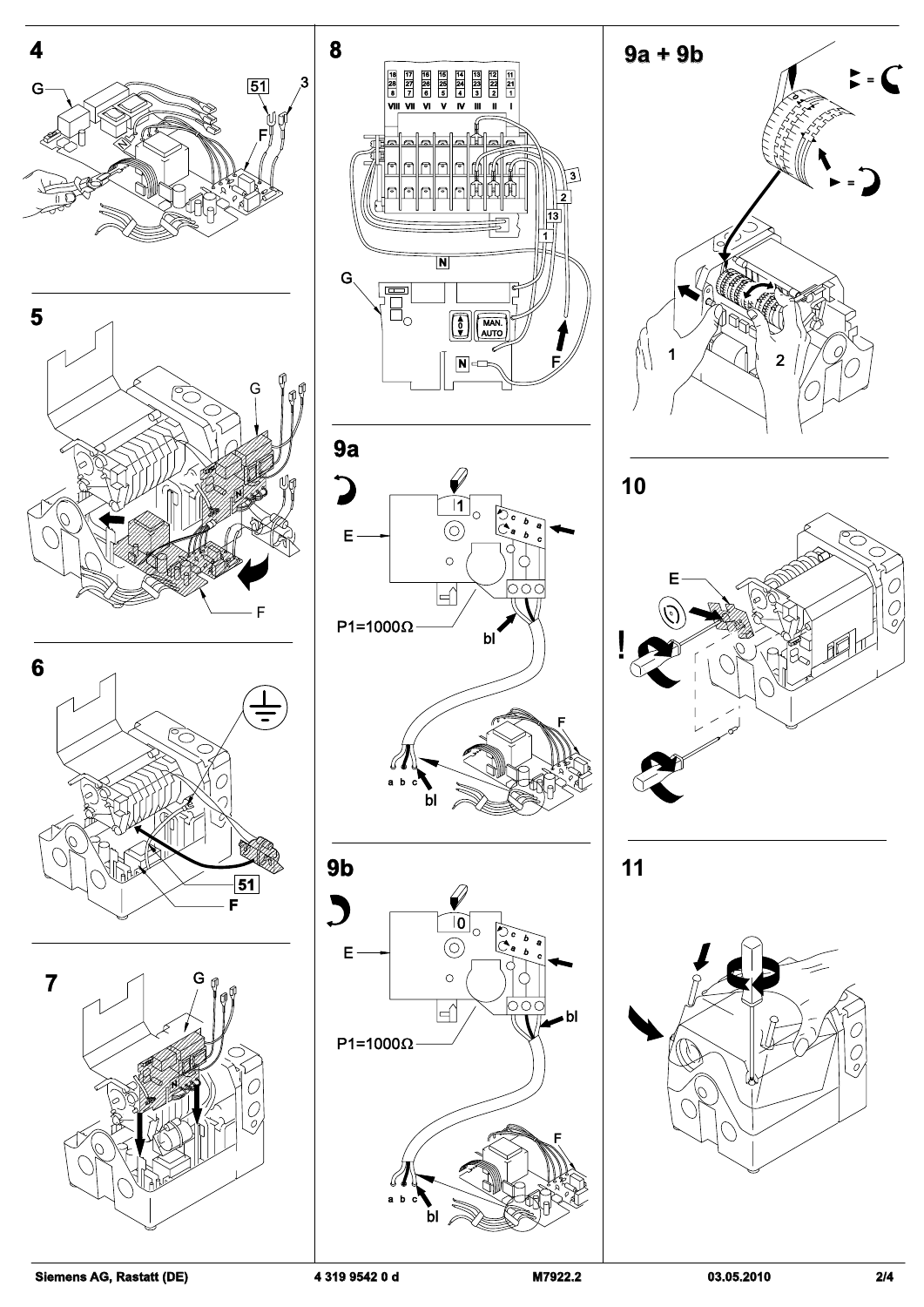



















**11**



**Siemens AG, Rastatt (DE) 4 319 9542 0 d M7922.2 03.05.2010 2/4**